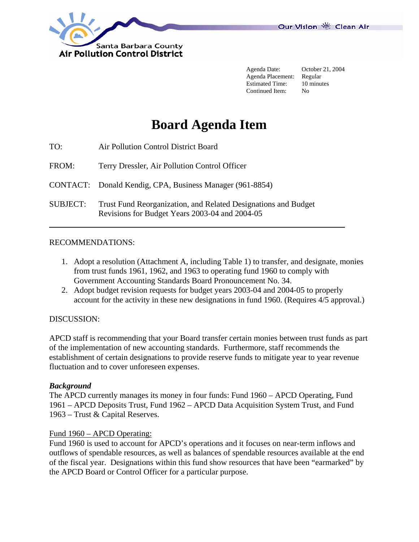

 Agenda Date: October 21, 2004 Agenda Placement: Regular Estimated Time: 10 minutes Continued Item: No

# **Board Agenda Item**

| TO:             | Air Pollution Control District Board                                                                             |
|-----------------|------------------------------------------------------------------------------------------------------------------|
| FROM:           | Terry Dressler, Air Pollution Control Officer                                                                    |
|                 | CONTACT: Donald Kendig, CPA, Business Manager (961-8854)                                                         |
| <b>SUBJECT:</b> | Trust Fund Reorganization, and Related Designations and Budget<br>Revisions for Budget Years 2003-04 and 2004-05 |

# RECOMMENDATIONS:

- 1. Adopt a resolution (Attachment A, including Table 1) to transfer, and designate, monies from trust funds 1961, 1962, and 1963 to operating fund 1960 to comply with Government Accounting Standards Board Pronouncement No. 34.
- 2. Adopt budget revision requests for budget years 2003-04 and 2004-05 to properly account for the activity in these new designations in fund 1960. (Requires 4/5 approval.)

# DISCUSSION:

APCD staff is recommending that your Board transfer certain monies between trust funds as part of the implementation of new accounting standards. Furthermore, staff recommends the establishment of certain designations to provide reserve funds to mitigate year to year revenue fluctuation and to cover unforeseen expenses.

# *Background*

The APCD currently manages its money in four funds: Fund 1960 – APCD Operating, Fund 1961 – APCD Deposits Trust, Fund 1962 – APCD Data Acquisition System Trust, and Fund 1963 – Trust & Capital Reserves.

# Fund 1960 – APCD Operating:

Fund 1960 is used to account for APCD's operations and it focuses on near-term inflows and outflows of spendable resources, as well as balances of spendable resources available at the end of the fiscal year. Designations within this fund show resources that have been "earmarked" by the APCD Board or Control Officer for a particular purpose.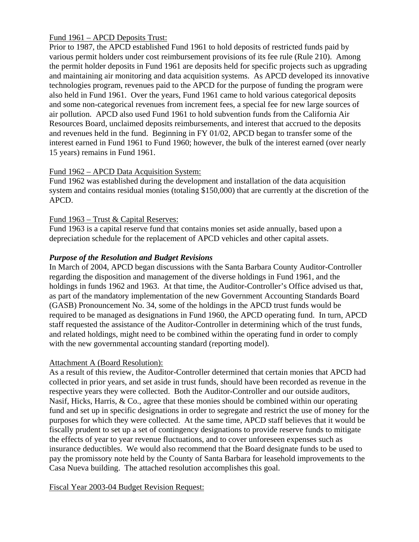# Fund 1961 – APCD Deposits Trust:

Prior to 1987, the APCD established Fund 1961 to hold deposits of restricted funds paid by various permit holders under cost reimbursement provisions of its fee rule (Rule 210). Among the permit holder deposits in Fund 1961 are deposits held for specific projects such as upgrading and maintaining air monitoring and data acquisition systems. As APCD developed its innovative technologies program, revenues paid to the APCD for the purpose of funding the program were also held in Fund 1961. Over the years, Fund 1961 came to hold various categorical deposits and some non-categorical revenues from increment fees, a special fee for new large sources of air pollution. APCD also used Fund 1961 to hold subvention funds from the California Air Resources Board, unclaimed deposits reimbursements, and interest that accrued to the deposits and revenues held in the fund. Beginning in FY 01/02, APCD began to transfer some of the interest earned in Fund 1961 to Fund 1960; however, the bulk of the interest earned (over nearly 15 years) remains in Fund 1961.

# Fund 1962 – APCD Data Acquisition System:

Fund 1962 was established during the development and installation of the data acquisition system and contains residual monies (totaling \$150,000) that are currently at the discretion of the APCD.

# Fund 1963 – Trust & Capital Reserves:

Fund 1963 is a capital reserve fund that contains monies set aside annually, based upon a depreciation schedule for the replacement of APCD vehicles and other capital assets.

# *Purpose of the Resolution and Budget Revisions*

In March of 2004, APCD began discussions with the Santa Barbara County Auditor-Controller regarding the disposition and management of the diverse holdings in Fund 1961, and the holdings in funds 1962 and 1963. At that time, the Auditor-Controller's Office advised us that, as part of the mandatory implementation of the new Government Accounting Standards Board (GASB) Pronouncement No. 34, some of the holdings in the APCD trust funds would be required to be managed as designations in Fund 1960, the APCD operating fund. In turn, APCD staff requested the assistance of the Auditor-Controller in determining which of the trust funds, and related holdings, might need to be combined within the operating fund in order to comply with the new governmental accounting standard (reporting model).

# Attachment A (Board Resolution):

As a result of this review, the Auditor-Controller determined that certain monies that APCD had collected in prior years, and set aside in trust funds, should have been recorded as revenue in the respective years they were collected. Both the Auditor-Controller and our outside auditors, Nasif, Hicks, Harris, & Co., agree that these monies should be combined within our operating fund and set up in specific designations in order to segregate and restrict the use of money for the purposes for which they were collected. At the same time, APCD staff believes that it would be fiscally prudent to set up a set of contingency designations to provide reserve funds to mitigate the effects of year to year revenue fluctuations, and to cover unforeseen expenses such as insurance deductibles. We would also recommend that the Board designate funds to be used to pay the promissory note held by the County of Santa Barbara for leasehold improvements to the Casa Nueva building. The attached resolution accomplishes this goal.

Fiscal Year 2003-04 Budget Revision Request: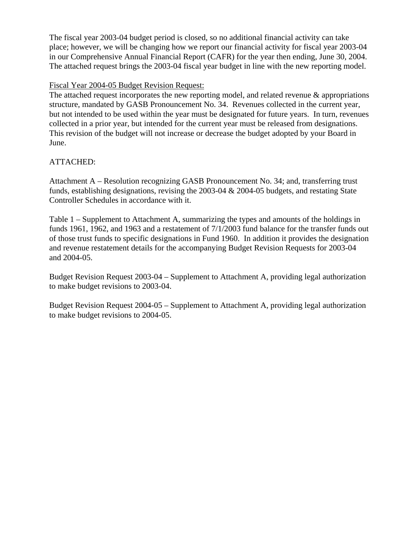The fiscal year 2003-04 budget period is closed, so no additional financial activity can take place; however, we will be changing how we report our financial activity for fiscal year 2003-04 in our Comprehensive Annual Financial Report (CAFR) for the year then ending, June 30, 2004. The attached request brings the 2003-04 fiscal year budget in line with the new reporting model.

# Fiscal Year 2004-05 Budget Revision Request:

The attached request incorporates the new reporting model, and related revenue & appropriations structure, mandated by GASB Pronouncement No. 34. Revenues collected in the current year, but not intended to be used within the year must be designated for future years. In turn, revenues collected in a prior year, but intended for the current year must be released from designations. This revision of the budget will not increase or decrease the budget adopted by your Board in June.

# ATTACHED:

Attachment A – Resolution recognizing GASB Pronouncement No. 34; and, transferring trust funds, establishing designations, revising the 2003-04 & 2004-05 budgets, and restating State Controller Schedules in accordance with it.

Table 1 – Supplement to Attachment A, summarizing the types and amounts of the holdings in funds 1961, 1962, and 1963 and a restatement of 7/1/2003 fund balance for the transfer funds out of those trust funds to specific designations in Fund 1960. In addition it provides the designation and revenue restatement details for the accompanying Budget Revision Requests for 2003-04 and 2004-05.

Budget Revision Request 2003-04 – Supplement to Attachment A, providing legal authorization to make budget revisions to 2003-04.

Budget Revision Request 2004-05 – Supplement to Attachment A, providing legal authorization to make budget revisions to 2004-05.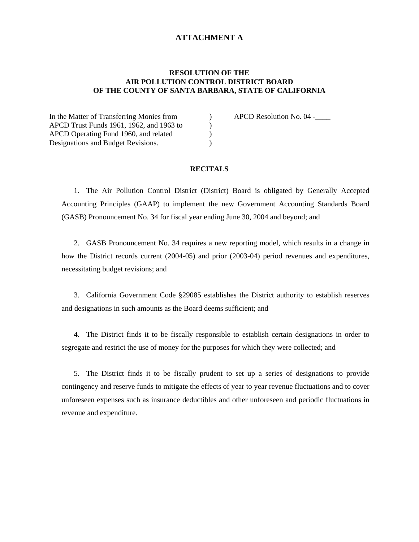# **ATTACHMENT A**

#### **RESOLUTION OF THE AIR POLLUTION CONTROL DISTRICT BOARD OF THE COUNTY OF SANTA BARBARA, STATE OF CALIFORNIA**

In the Matter of Transferring Monies from (a) APCD Resolution No. 04 -\_\_\_\_\_\_ APCD Trust Funds 1961, 1962, and 1963 to ) APCD Operating Fund 1960, and related ) Designations and Budget Revisions.

#### **RECITALS**

1. The Air Pollution Control District (District) Board is obligated by Generally Accepted Accounting Principles (GAAP) to implement the new Government Accounting Standards Board (GASB) Pronouncement No. 34 for fiscal year ending June 30, 2004 and beyond; and

2. GASB Pronouncement No. 34 requires a new reporting model, which results in a change in how the District records current (2004-05) and prior (2003-04) period revenues and expenditures, necessitating budget revisions; and

3. California Government Code §29085 establishes the District authority to establish reserves and designations in such amounts as the Board deems sufficient; and

4. The District finds it to be fiscally responsible to establish certain designations in order to segregate and restrict the use of money for the purposes for which they were collected; and

5. The District finds it to be fiscally prudent to set up a series of designations to provide contingency and reserve funds to mitigate the effects of year to year revenue fluctuations and to cover unforeseen expenses such as insurance deductibles and other unforeseen and periodic fluctuations in revenue and expenditure.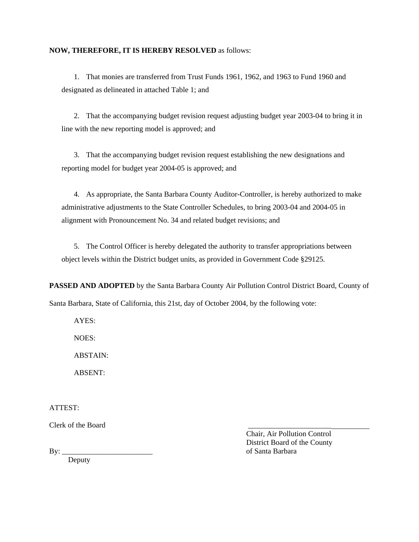#### **NOW, THEREFORE, IT IS HEREBY RESOLVED** as follows:

1. That monies are transferred from Trust Funds 1961, 1962, and 1963 to Fund 1960 and designated as delineated in attached Table 1; and

2. That the accompanying budget revision request adjusting budget year 2003-04 to bring it in line with the new reporting model is approved; and

3. That the accompanying budget revision request establishing the new designations and reporting model for budget year 2004-05 is approved; and

4. As appropriate, the Santa Barbara County Auditor-Controller, is hereby authorized to make administrative adjustments to the State Controller Schedules, to bring 2003-04 and 2004-05 in alignment with Pronouncement No. 34 and related budget revisions; and

5. The Control Officer is hereby delegated the authority to transfer appropriations between object levels within the District budget units, as provided in Government Code §29125.

**PASSED AND ADOPTED** by the Santa Barbara County Air Pollution Control District Board, County of Santa Barbara, State of California, this 21st, day of October 2004, by the following vote:

AYES:

NOES:

ABSTAIN:

ABSENT:

ATTEST:

Clerk of the Board \_\_\_\_\_\_\_\_\_\_\_\_\_\_\_\_\_\_\_\_\_\_

 Chair, Air Pollution Control District Board of the County By: \_\_\_\_\_\_\_\_\_\_\_\_\_\_\_\_\_\_\_\_\_\_\_\_ of Santa Barbara

Deputy